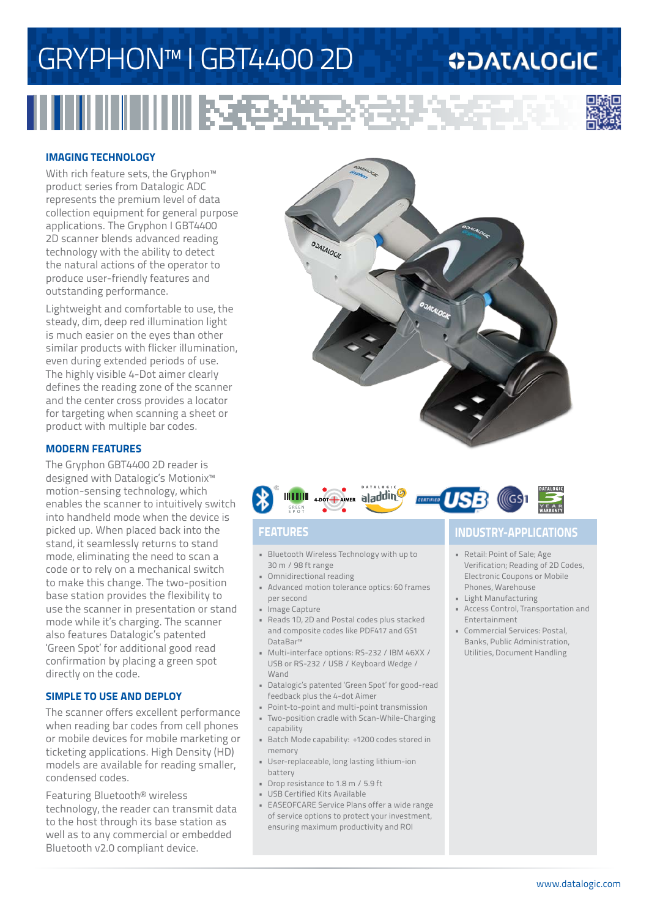# GRYPHON™ I GBT4400 2D

## **ODATALOGIC**

H HIIIIIIIIIIIIIIIII RS<del>C</del>EE



#### **IMAGING TECHNOLOGY**

With rich feature sets, the Gryphon<sup>™</sup> product series from Datalogic ADC represents the premium level of data collection equipment for general purpose applications. The Gryphon I GBT4400 2D scanner blends advanced reading technology with the ability to detect the natural actions of the operator to produce user-friendly features and outstanding performance.

Lightweight and comfortable to use, the steady, dim, deep red illumination light is much easier on the eyes than other similar products with flicker illumination, even during extended periods of use. The highly visible 4-Dot aimer clearly defines the reading zone of the scanner and the center cross provides a locator for targeting when scanning a sheet or product with multiple bar codes.

#### **MODERN FEATURES**

The Gryphon GBT4400 2D reader is designed with Datalogic's Motionix™ motion-sensing technology, which enables the scanner to intuitively switch into handheld mode when the device is picked up. When placed back into the stand, it seamlessly returns to stand mode, eliminating the need to scan a code or to rely on a mechanical switch to make this change. The two-position base station provides the flexibility to use the scanner in presentation or stand mode while it's charging. The scanner also features Datalogic's patented 'Green Spot' for additional good read confirmation by placing a green spot directly on the code.

### **SIMPLE TO USE AND DEPLOY**

The scanner offers excellent performance when reading bar codes from cell phones or mobile devices for mobile marketing or ticketing applications. High Density (HD) models are available for reading smaller, condensed codes.

Featuring Bluetooth® wireless technology, the reader can transmit data to the host through its base station as well as to any commercial or embedded Bluetooth v2.0 compliant device.





- Bluetooth Wireless Technology with up to 30 m / 98 ft range
- Omnidirectional reading
- Advanced motion tolerance optics: 60 frames per second
- Image Capture
- Reads 1D, 2D and Postal codes plus stacked and composite codes like PDF417 and GS1 DataBar™
- Multi-interface options: RS-232 / IBM 46XX / USB or RS-232 / USB / Keyboard Wedge / Wand
- Datalogic's patented 'Green Spot' for good-read feedback plus the 4-dot Aimer
- Point-to-point and multi-point transmission
- Two-position cradle with Scan-While-Charging capability
- Batch Mode capability: +1200 codes stored in memory
- User-replaceable, long lasting lithium-ion battery
- Drop resistance to 1.8 m / 5.9 ft
- USB Certified Kits Available
- EASEOFCARE Service Plans offer a wide range of service options to protect your investment, ensuring maximum productivity and ROI

### **FEATURES INDUSTRY-APPLICATIONS**

- Retail: Point of Sale; Age Verification; Reading of 2D Codes, Electronic Coupons or Mobile Phones, Warehouse
- Light Manufacturing
- Access Control, Transportation and Entertainment
- Commercial Services: Postal, Banks, Public Administration, Utilities, Document Handling